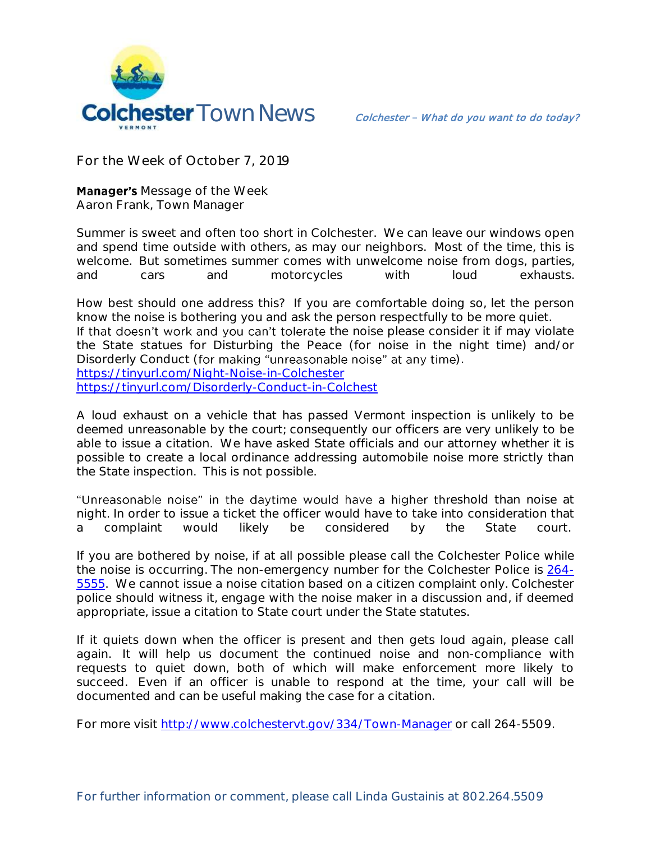

**For the Week of October 7, 2019**

**Manager's** Message of the Week **Aaron Frank, Town Manager**

Summer is sweet and often too short in Colchester. We can leave our windows open and spend time outside with others, as may our neighbors. Most of the time, this is welcome. But sometimes summer comes with unwelcome noise from dogs, parties, and cars and motorcycles with loud exhausts.

How best should one address this? If you are comfortable doing so, let the person know the noise is bothering you and ask the person respectfully to be more quiet. If that doesn't work and you can't tolerate the noise please consider it if may violate the State statues for Disturbing the Peace (for noise in the night time) and/or Disorderly Conduct (for making "unreasonable noise" at any time). <https://tinyurl.com/Night-Noise-in-Colchester>

<https://tinyurl.com/Disorderly-Conduct-in-Colchest>

A loud exhaust on a vehicle that has passed Vermont inspection is unlikely to be deemed unreasonable by the court; consequently our officers are very unlikely to be able to issue a citation. We have asked State officials and our attorney whether it is possible to create a local ordinance addressing automobile noise more strictly than the State inspection. This is not possible.

"Unreasonable noise" in the daytime would have a higher threshold than noise at night. In order to issue a ticket the officer would have to take into consideration that a complaint would likely be considered by the State court.

If you are bothered by noise, if at all possible please call the Colchester Police while the noise is occurring. The non-emergency number for the Colchester Police is [264-](tel:264-5555) [5555.](tel:264-5555) We cannot issue a noise citation based on a citizen complaint only. Colchester police should witness it, engage with the noise maker in a discussion and, if deemed appropriate, issue a citation to State court under the State statutes.

If it quiets down when the officer is present and then gets loud again, please call again. It will help us document the continued noise and non-compliance with requests to quiet down, both of which will make enforcement more likely to succeed. Even if an officer is unable to respond at the time, your call will be documented and can be useful making the case for a citation.

For more visit<http://www.colchestervt.gov/334/Town-Manager> or call 264-5509.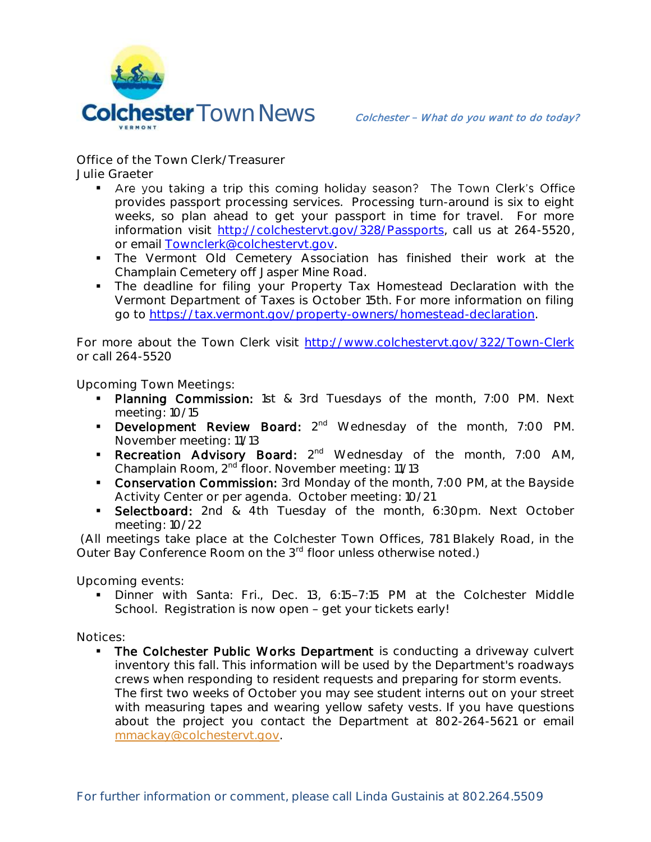

**Office of the Town Clerk/Treasurer Julie Graeter**

- Are you taking a trip this coming holiday season? The Town Clerk's Office provides passport processing services. Processing turn-around is six to eight weeks, so plan ahead to get your passport in time for travel. For more information visit [http://colchestervt.gov/328/Passports,](http://colchestervt.gov/328/Passports) call us at 264-5520, or email **[Townclerk@colchestervt.gov.](mailto:Townclerk@colchestervt.gov)**
- **The Vermont Old Cemetery Association has finished their work at the** Champlain Cemetery off Jasper Mine Road.
- The deadline for filing your Property Tax Homestead Declaration with the Vermont Department of Taxes is October 15th. For more information on filing go to [https://tax.vermont.gov/property-owners/homestead-declaration.](https://tax.vermont.gov/property-owners/homestead-declaration)

For more about the Town Clerk visit <http://www.colchestervt.gov/322/Town-Clerk> or call 264-5520

**Upcoming Town Meetings:** 

- **Planning Commission:** 1st & 3rd Tuesdays of the month, 7:00 PM. Next meeting: 10/15
- **Development Review Board:** 2<sup>nd</sup> Wednesday of the month, 7:00 PM. November meeting: 11/13
- Recreation Advisory Board: 2<sup>nd</sup> Wednesday of the month, 7:00 AM, Champlain Room, 2nd floor. November meeting: 11/13
- **Conservation Commission:** 3rd Monday of the month, 7:00 PM, at the Bayside Activity Center or per agenda. October meeting: 10/21
- **Selectboard:** 2nd & 4th Tuesday of the month, 6:30pm. Next October meeting: 10/22

(All meetings take place at the Colchester Town Offices, 781 Blakely Road, in the Outer Bay Conference Room on the 3<sup>rd</sup> floor unless otherwise noted.)

**Upcoming events:** 

Dinner with Santa: Fri., Dec. 13, 6:15-7:15 PM at the Colchester Middle School. Registration is now open - get your tickets early!

**Notices:**

 The Colchester Public Works Department is conducting a driveway culvert inventory this fall. This information will be used by the Department's roadways crews when responding to resident requests and preparing for storm events. The first two weeks of October you may see student interns out on your street with measuring tapes and wearing yellow safety vests. If you have questions about the project you contact the Department at 802-264-5621 or email [mmackay@colchestervt.gov.](mailto:mmackay@colchestervt.gov)